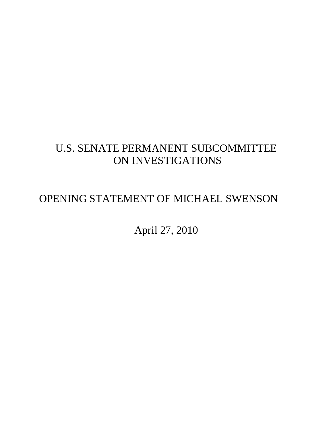## U.S. SENATE PERMANENT SUBCOMMITTEE ON INVESTIGATIONS

## OPENING STATEMENT OF MICHAEL SWENSON

April 27, 2010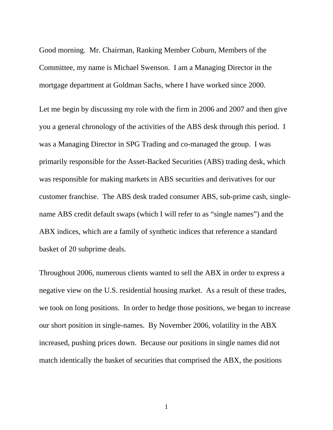Good morning. Mr. Chairman, Ranking Member Coburn, Members of the Committee, my name is Michael Swenson. I am a Managing Director in the mortgage department at Goldman Sachs, where I have worked since 2000.

Let me begin by discussing my role with the firm in 2006 and 2007 and then give you a general chronology of the activities of the ABS desk through this period. I was a Managing Director in SPG Trading and co-managed the group. I was primarily responsible for the Asset-Backed Securities (ABS) trading desk, which was responsible for making markets in ABS securities and derivatives for our customer franchise. The ABS desk traded consumer ABS, sub-prime cash, singlename ABS credit default swaps (which I will refer to as "single names") and the ABX indices, which are a family of synthetic indices that reference a standard basket of 20 subprime deals.

Throughout 2006, numerous clients wanted to sell the ABX in order to express a negative view on the U.S. residential housing market. As a result of these trades, we took on long positions. In order to hedge those positions, we began to increase our short position in single-names. By November 2006, volatility in the ABX increased, pushing prices down. Because our positions in single names did not match identically the basket of securities that comprised the ABX, the positions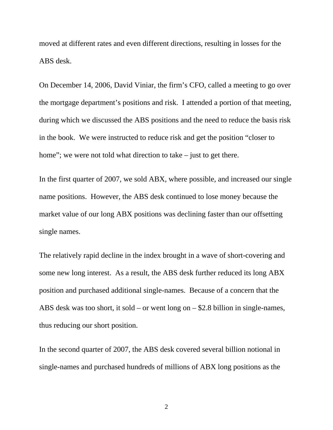moved at different rates and even different directions, resulting in losses for the ABS desk.

On December 14, 2006, David Viniar, the firm's CFO, called a meeting to go over the mortgage department's positions and risk. I attended a portion of that meeting, during which we discussed the ABS positions and the need to reduce the basis risk in the book. We were instructed to reduce risk and get the position "closer to home"; we were not told what direction to take – just to get there.

In the first quarter of 2007, we sold ABX, where possible, and increased our single name positions. However, the ABS desk continued to lose money because the market value of our long ABX positions was declining faster than our offsetting single names.

The relatively rapid decline in the index brought in a wave of short-covering and some new long interest. As a result, the ABS desk further reduced its long ABX position and purchased additional single-names. Because of a concern that the ABS desk was too short, it sold – or went long on – \$2.8 billion in single-names, thus reducing our short position.

In the second quarter of 2007, the ABS desk covered several billion notional in single-names and purchased hundreds of millions of ABX long positions as the

2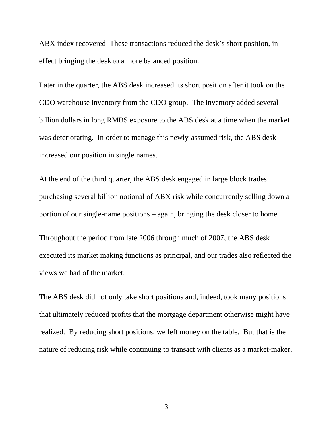ABX index recovered These transactions reduced the desk's short position, in effect bringing the desk to a more balanced position.

Later in the quarter, the ABS desk increased its short position after it took on the CDO warehouse inventory from the CDO group. The inventory added several billion dollars in long RMBS exposure to the ABS desk at a time when the market was deteriorating. In order to manage this newly-assumed risk, the ABS desk increased our position in single names.

At the end of the third quarter, the ABS desk engaged in large block trades purchasing several billion notional of ABX risk while concurrently selling down a portion of our single-name positions – again, bringing the desk closer to home.

Throughout the period from late 2006 through much of 2007, the ABS desk executed its market making functions as principal, and our trades also reflected the views we had of the market.

The ABS desk did not only take short positions and, indeed, took many positions that ultimately reduced profits that the mortgage department otherwise might have realized. By reducing short positions, we left money on the table. But that is the nature of reducing risk while continuing to transact with clients as a market-maker.

3